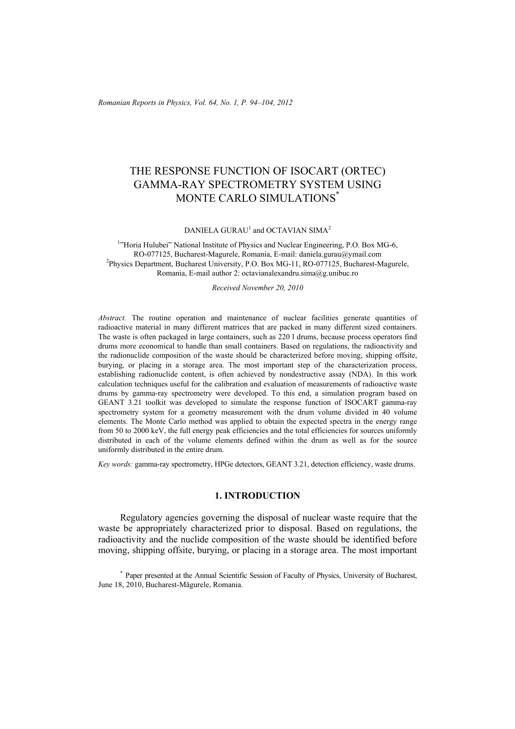*Romanian Reports in Physics, Vol. 64, No. 1, P. 94–104, 2012*

# THE RESPONSE FUNCTION OF ISOCART (ORTEC) GAMMA-RAY SPECTROMETRY SYSTEM USING MONTE CARLO SIMULATIONS\*

DANIELA GURAU<sup>1</sup> and OCTAVIAN SIMA<sup>2</sup>

<sup>1</sup>"Horia Hulubei" National Institute of Physics and Nuclear Engineering, P.O. Box MG-6, RO-077125, Bucharest-Magurele, Romania, E-mail: daniela.gurau@ymail.com 2 Physics Department, Bucharest University, P.O. Box MG-11, RO-077125, Bucharest-Magurele, Romania, E-mail author 2: octavianalexandru.sima@g.unibuc.ro

*Received November 20, 2010* 

*Abstract.* The routine operation and maintenance of nuclear facilities generate quantities of radioactive material in many different matrices that are packed in many different sized containers. The waste is often packaged in large containers, such as 220 l drums, because process operators find drums more economical to handle than small containers. Based on regulations, the radioactivity and the radionuclide composition of the waste should be characterized before moving, shipping offsite, burying, or placing in a storage area. The most important step of the characterization process, establishing radionuclide content, is often achieved by nondestructive assay (NDA). In this work calculation techniques useful for the calibration and evaluation of measurements of radioactive waste drums by gamma-ray spectrometry were developed. To this end, a simulation program based on GEANT 3.21 toolkit was developed to simulate the response function of ISOCART gamma-ray spectrometry system for a geometry measurement with the drum volume divided in 40 volume elements. The Monte Carlo method was applied to obtain the expected spectra in the energy range from 50 to 2000 keV, the full energy peak efficiencies and the total efficiencies for sources uniformly distributed in each of the volume elements defined within the drum as well as for the source uniformly distributed in the entire drum.

*Key words:* gamma-ray spectrometry, HPGe detectors, GEANT 3.21, detection efficiency, waste drums.

#### **1. INTRODUCTION**

 Regulatory agencies governing the disposal of nuclear waste require that the waste be appropriately characterized prior to disposal. Based on regulations, the radioactivity and the nuclide composition of the waste should be identified before moving, shipping offsite, burying, or placing in a storage area. The most important

\* Paper presented at the Annual Scientific Session of Faculty of Physics, University of Bucharest, June 18, 2010, Bucharest-Măgurele, Romania.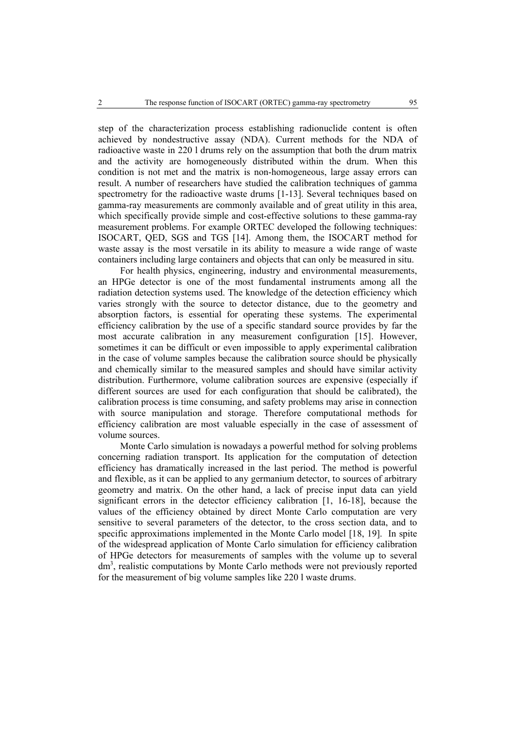step of the characterization process establishing radionuclide content is often achieved by nondestructive assay (NDA). Current methods for the NDA of radioactive waste in 220 l drums rely on the assumption that both the drum matrix and the activity are homogeneously distributed within the drum. When this condition is not met and the matrix is non-homogeneous, large assay errors can result. A number of researchers have studied the calibration techniques of gamma spectrometry for the radioactive waste drums [1-13]. Several techniques based on gamma-ray measurements are commonly available and of great utility in this area, which specifically provide simple and cost-effective solutions to these gamma-ray measurement problems. For example ORTEC developed the following techniques: ISOCART, QED, SGS and TGS [14]. Among them, the ISOCART method for waste assay is the most versatile in its ability to measure a wide range of waste containers including large containers and objects that can only be measured in situ.

For health physics, engineering, industry and environmental measurements, an HPGe detector is one of the most fundamental instruments among all the radiation detection systems used. The knowledge of the detection efficiency which varies strongly with the source to detector distance, due to the geometry and absorption factors, is essential for operating these systems. The experimental efficiency calibration by the use of a specific standard source provides by far the most accurate calibration in any measurement configuration [15]. However, sometimes it can be difficult or even impossible to apply experimental calibration in the case of volume samples because the calibration source should be physically and chemically similar to the measured samples and should have similar activity distribution. Furthermore, volume calibration sources are expensive (especially if different sources are used for each configuration that should be calibrated), the calibration process is time consuming, and safety problems may arise in connection with source manipulation and storage. Therefore computational methods for efficiency calibration are most valuable especially in the case of assessment of volume sources.

Monte Carlo simulation is nowadays a powerful method for solving problems concerning radiation transport. Its application for the computation of detection efficiency has dramatically increased in the last period. The method is powerful and flexible, as it can be applied to any germanium detector, to sources of arbitrary geometry and matrix. On the other hand, a lack of precise input data can yield significant errors in the detector efficiency calibration [1, 16-18], because the values of the efficiency obtained by direct Monte Carlo computation are very sensitive to several parameters of the detector, to the cross section data, and to specific approximations implemented in the Monte Carlo model [18, 19]. In spite of the widespread application of Monte Carlo simulation for efficiency calibration of HPGe detectors for measurements of samples with the volume up to several dm<sup>3</sup>, realistic computations by Monte Carlo methods were not previously reported for the measurement of big volume samples like 220 l waste drums.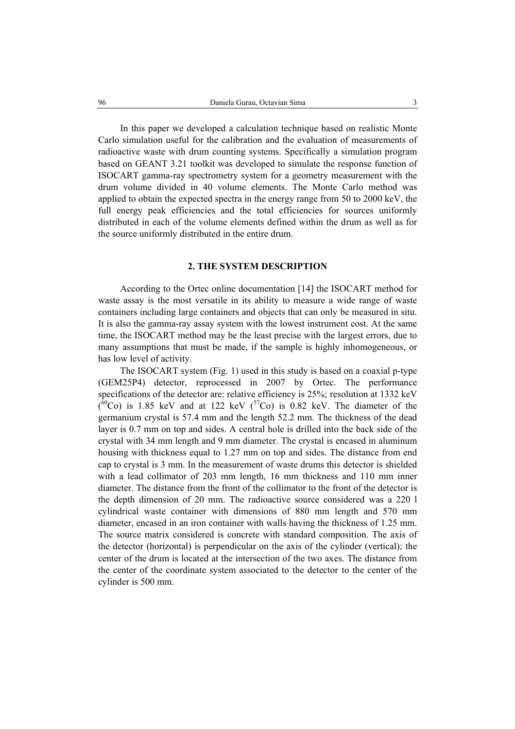In this paper we developed a calculation technique based on realistic Monte Carlo simulation useful for the calibration and the evaluation of measurements of radioactive waste with drum counting systems. Specifically a simulation program based on GEANT 3.21 toolkit was developed to simulate the response function of ISOCART gamma-ray spectrometry system for a geometry measurement with the drum volume divided in 40 volume elements. The Monte Carlo method was applied to obtain the expected spectra in the energy range from 50 to 2000 keV, the full energy peak efficiencies and the total efficiencies for sources uniformly distributed in each of the volume elements defined within the drum as well as for the source uniformly distributed in the entire drum.

## **2. THE SYSTEM DESCRIPTION**

 According to the Ortec online documentation [14] the ISOCART method for waste assay is the most versatile in its ability to measure a wide range of waste containers including large containers and objects that can only be measured in situ. It is also the gamma-ray assay system with the lowest instrument cost. At the same time, the ISOCART method may be the least precise with the largest errors, due to many assumptions that must be made, if the sample is highly inhomogeneous, or has low level of activity.

 The ISOCART system (Fig. 1) used in this study is based on a coaxial p-type (GEM25P4) detector, reprocessed in 2007 by Ortec. The performance specifications of the detector are: relative efficiency is 25%; resolution at 1332 keV  $(60)$  is 1.85 keV and at 122 keV  $(57)$  is 0.82 keV. The diameter of the germanium crystal is 57.4 mm and the length 52.2 mm. The thickness of the dead layer is 0.7 mm on top and sides. A central hole is drilled into the back side of the crystal with 34 mm length and 9 mm diameter. The crystal is encased in aluminum housing with thickness equal to 1.27 mm on top and sides. The distance from end cap to crystal is 3 mm. In the measurement of waste drums this detector is shielded with a lead collimator of 203 mm length, 16 mm thickness and 110 mm inner diameter. The distance from the front of the collimator to the front of the detector is the depth dimension of 20 mm. The radioactive source considered was a 220 l cylindrical waste container with dimensions of 880 mm length and 570 mm diameter, encased in an iron container with walls having the thickness of 1.25 mm. The source matrix considered is concrete with standard composition. The axis of the detector (horizontal) is perpendicular on the axis of the cylinder (vertical); the center of the drum is located at the intersection of the two axes. The distance from the center of the coordinate system associated to the detector to the center of the cylinder is 500 mm.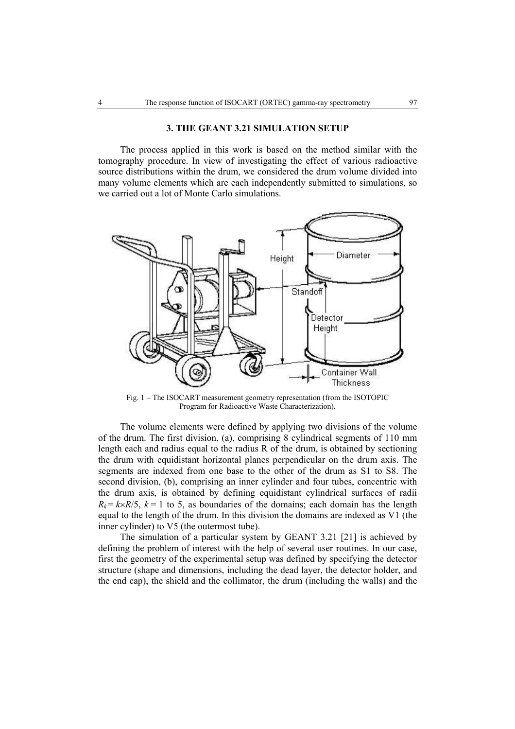#### **3. THE GEANT 3.21 SIMULATION SETUP**

 The process applied in this work is based on the method similar with the tomography procedure. In view of investigating the effect of various radioactive source distributions within the drum, we considered the drum volume divided into many volume elements which are each independently submitted to simulations, so we carried out a lot of Monte Carlo simulations.



Fig. 1 – The ISOCART measurement geometry representation (from the ISOTOPIC Program for Radioactive Waste Characterization).

 The volume elements were defined by applying two divisions of the volume of the drum. The first division, (a), comprising 8 cylindrical segments of 110 mm length each and radius equal to the radius R of the drum, is obtained by sectioning the drum with equidistant horizontal planes perpendicular on the drum axis. The segments are indexed from one base to the other of the drum as S1 to S8. The second division, (b), comprising an inner cylinder and four tubes, concentric with the drum axis, is obtained by defining equidistant cylindrical surfaces of radii  $R_k = k \times R/5$ ,  $k = 1$  to 5, as boundaries of the domains; each domain has the length equal to the length of the drum. In this division the domains are indexed as V1 (the inner cylinder) to V5 (the outermost tube).

 The simulation of a particular system by GEANT 3.21 [21] is achieved by defining the problem of interest with the help of several user routines. In our case, first the geometry of the experimental setup was defined by specifying the detector structure (shape and dimensions, including the dead layer, the detector holder, and the end cap), the shield and the collimator, the drum (including the walls) and the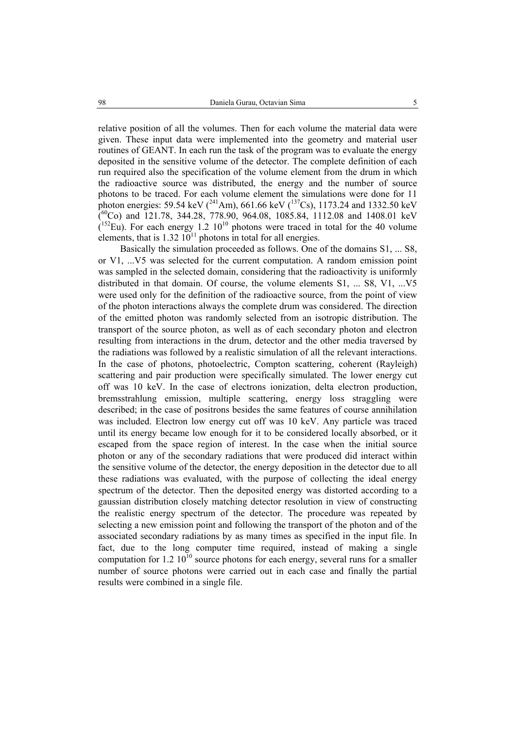relative position of all the volumes. Then for each volume the material data were given. These input data were implemented into the geometry and material user routines of GEANT. In each run the task of the program was to evaluate the energy deposited in the sensitive volume of the detector. The complete definition of each run required also the specification of the volume element from the drum in which the radioactive source was distributed, the energy and the number of source photons to be traced. For each volume element the simulations were done for 11 photon energies: 59.54 keV  $(^{241}Am)$ , 661.66 keV  $(^{137}Cs)$ , 1173.24 and 1332.50 keV  $(60)$  and 121.78, 344.28, 778.90, 964.08, 1085.84, 1112.08 and 1408.01 keV  $(152)$  Eu). For each energy 1.2  $10^{10}$  photons were traced in total for the 40 volume elements, that is  $1.32 \times 10^{11}$  photons in total for all energies.

 Basically the simulation proceeded as follows. One of the domains S1, ... S8, or V1, ...V5 was selected for the current computation. A random emission point was sampled in the selected domain, considering that the radioactivity is uniformly distributed in that domain. Of course, the volume elements S1, ... S8, V1, ...V5 were used only for the definition of the radioactive source, from the point of view of the photon interactions always the complete drum was considered. The direction of the emitted photon was randomly selected from an isotropic distribution. The transport of the source photon, as well as of each secondary photon and electron resulting from interactions in the drum, detector and the other media traversed by the radiations was followed by a realistic simulation of all the relevant interactions. In the case of photons, photoelectric, Compton scattering, coherent (Rayleigh) scattering and pair production were specifically simulated. The lower energy cut off was 10 keV. In the case of electrons ionization, delta electron production, bremsstrahlung emission, multiple scattering, energy loss straggling were described; in the case of positrons besides the same features of course annihilation was included. Electron low energy cut off was 10 keV. Any particle was traced until its energy became low enough for it to be considered locally absorbed, or it escaped from the space region of interest. In the case when the initial source photon or any of the secondary radiations that were produced did interact within the sensitive volume of the detector, the energy deposition in the detector due to all these radiations was evaluated, with the purpose of collecting the ideal energy spectrum of the detector. Then the deposited energy was distorted according to a gaussian distribution closely matching detector resolution in view of constructing the realistic energy spectrum of the detector. The procedure was repeated by selecting a new emission point and following the transport of the photon and of the associated secondary radiations by as many times as specified in the input file. In fact, due to the long computer time required, instead of making a single computation for 1.2  $10^{10}$  source photons for each energy, several runs for a smaller number of source photons were carried out in each case and finally the partial results were combined in a single file.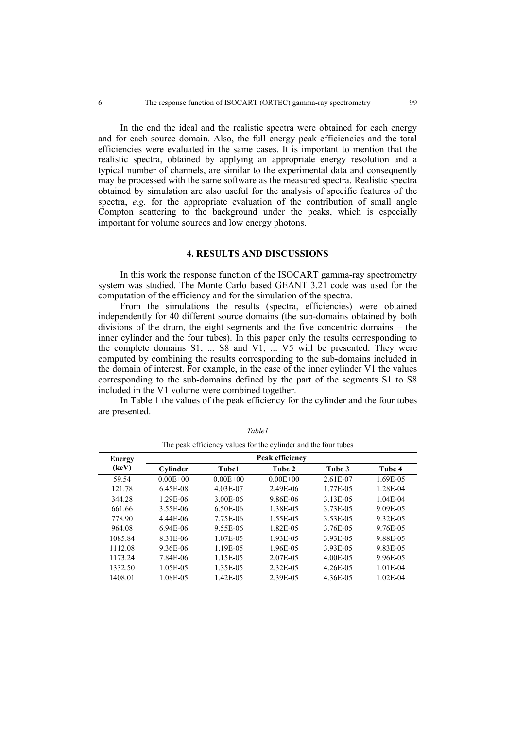In the end the ideal and the realistic spectra were obtained for each energy and for each source domain. Also, the full energy peak efficiencies and the total efficiencies were evaluated in the same cases. It is important to mention that the realistic spectra, obtained by applying an appropriate energy resolution and a typical number of channels, are similar to the experimental data and consequently may be processed with the same software as the measured spectra. Realistic spectra obtained by simulation are also useful for the analysis of specific features of the spectra, *e.g.* for the appropriate evaluation of the contribution of small angle Compton scattering to the background under the peaks, which is especially important for volume sources and low energy photons.

### **4. RESULTS AND DISCUSSIONS**

 In this work the response function of the ISOCART gamma-ray spectrometry system was studied. The Monte Carlo based GEANT 3.21 code was used for the computation of the efficiency and for the simulation of the spectra.

 From the simulations the results (spectra, efficiencies) were obtained independently for 40 different source domains (the sub-domains obtained by both divisions of the drum, the eight segments and the five concentric domains – the inner cylinder and the four tubes). In this paper only the results corresponding to the complete domains S1, ... S8 and V1, ... V5 will be presented. They were computed by combining the results corresponding to the sub-domains included in the domain of interest. For example, in the case of the inner cylinder V1 the values corresponding to the sub-domains defined by the part of the segments S1 to S8 included in the V1 volume were combined together.

In Table 1 the values of the peak efficiency for the cylinder and the four tubes are presented.

| Energy  | Peak efficiency |              |              |          |            |  |  |  |  |
|---------|-----------------|--------------|--------------|----------|------------|--|--|--|--|
| (keV)   | Cylinder        | Tube1        | Tube 2       | Tube 3   | Tube 4     |  |  |  |  |
| 59.54   | $0.00E + 00$    | $0.00E + 00$ | $0.00E + 00$ | 2.61E-07 | 1.69E-05   |  |  |  |  |
| 121.78  | 6.45E-08        | 4.03E-07     | 2.49E-06     | 1.77E-05 | 1.28E-04   |  |  |  |  |
| 344.28  | 1.29E-06        | 3.00E-06     | 9.86E-06     | 3.13E-05 | $1.04E-04$ |  |  |  |  |
| 661.66  | 3.55E-06        | 6.50E-06     | 1.38E-05     | 3.73E-05 | 9.09E-05   |  |  |  |  |
| 778.90  | 4.44E-06        | 7.75E-06     | 1.55E-05     | 3.53E-05 | 9.32E-05   |  |  |  |  |
| 964.08  | $6.94E-06$      | 9.55E-06     | 1.82E-05     | 3.76E-05 | 9.76E-05   |  |  |  |  |
| 1085.84 | 8.31E-06        | 1.07E-05     | 1.93E-05     | 3.93E-05 | 9.88E-05   |  |  |  |  |
| 1112.08 | 9.36E-06        | 1.19E-05     | 1.96E-05     | 3.93E-05 | 9.83E-05   |  |  |  |  |
| 1173.24 | 7.84E-06        | 1.15E-05     | 2.07E-05     | 4.00E-05 | 9.96E-05   |  |  |  |  |
| 1332.50 | 1.05E-05        | 1.35E-05     | 2.32E-05     | 4.26E-05 | $1.01E-04$ |  |  |  |  |
| 1408.01 | 1.08E-05        | 1.42E-05     | 2.39E-05     | 4.36E-05 | 1.02E-04   |  |  |  |  |

*Table1*  The peak efficiency values for the cylinder and the four tubes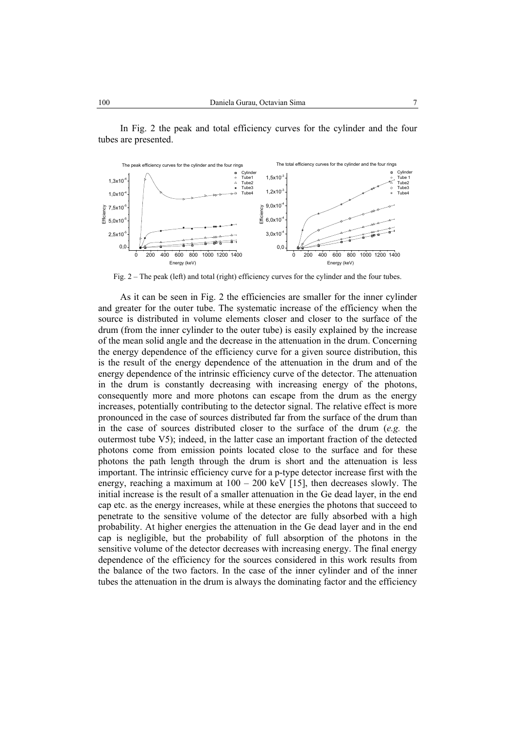

In Fig. 2 the peak and total efficiency curves for the cylinder and the four tubes are presented.

Fig. 2 – The peak (left) and total (right) efficiency curves for the cylinder and the four tubes.

 As it can be seen in Fig. 2 the efficiencies are smaller for the inner cylinder and greater for the outer tube. The systematic increase of the efficiency when the source is distributed in volume elements closer and closer to the surface of the drum (from the inner cylinder to the outer tube) is easily explained by the increase of the mean solid angle and the decrease in the attenuation in the drum. Concerning the energy dependence of the efficiency curve for a given source distribution, this is the result of the energy dependence of the attenuation in the drum and of the energy dependence of the intrinsic efficiency curve of the detector. The attenuation in the drum is constantly decreasing with increasing energy of the photons, consequently more and more photons can escape from the drum as the energy increases, potentially contributing to the detector signal. The relative effect is more pronounced in the case of sources distributed far from the surface of the drum than in the case of sources distributed closer to the surface of the drum (*e.g.* the outermost tube V5); indeed, in the latter case an important fraction of the detected photons come from emission points located close to the surface and for these photons the path length through the drum is short and the attenuation is less important. The intrinsic efficiency curve for a p-type detector increase first with the energy, reaching a maximum at  $100 - 200$  keV [15], then decreases slowly. The initial increase is the result of a smaller attenuation in the Ge dead layer, in the end cap etc. as the energy increases, while at these energies the photons that succeed to penetrate to the sensitive volume of the detector are fully absorbed with a high probability. At higher energies the attenuation in the Ge dead layer and in the end cap is negligible, but the probability of full absorption of the photons in the sensitive volume of the detector decreases with increasing energy. The final energy dependence of the efficiency for the sources considered in this work results from the balance of the two factors. In the case of the inner cylinder and of the inner tubes the attenuation in the drum is always the dominating factor and the efficiency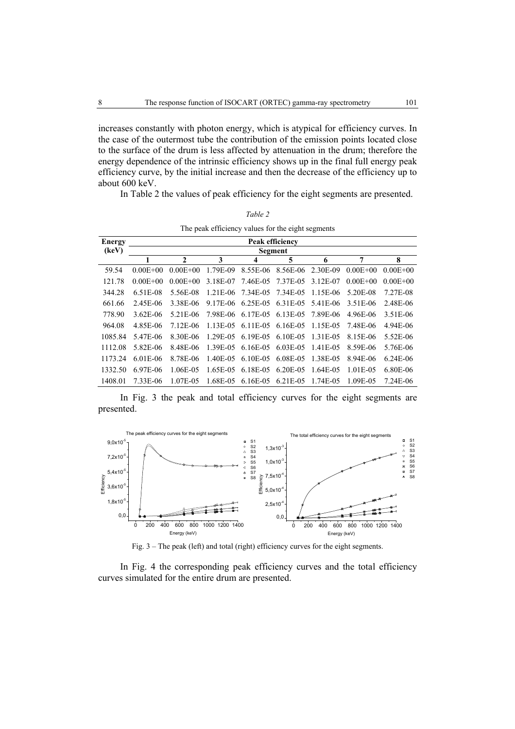increases constantly with photon energy, which is atypical for efficiency curves. In the case of the outermost tube the contribution of the emission points located close to the surface of the drum is less affected by attenuation in the drum; therefore the energy dependence of the intrinsic efficiency shows up in the final full energy peak efficiency curve, by the initial increase and then the decrease of the efficiency up to about 600 keV.

*Table 2* 

In Table 2 the values of peak efficiency for the eight segments are presented.

| The peak efficiency values for the eight segments |                 |              |             |                                     |                   |          |              |              |  |  |  |
|---------------------------------------------------|-----------------|--------------|-------------|-------------------------------------|-------------------|----------|--------------|--------------|--|--|--|
| <b>Energy</b>                                     | Peak efficiency |              |             |                                     |                   |          |              |              |  |  |  |
| (keV)                                             | Segment         |              |             |                                     |                   |          |              |              |  |  |  |
|                                                   | 1               | $\mathbf{2}$ | 3           | 4                                   | 5                 | 6        | 7            | 8            |  |  |  |
| 59.54                                             | $0.00E + 00$    | $0.00E + 00$ | 1.79E-09    |                                     | 8.55E-06 8.56E-06 | 2.30E-09 | $0.00E + 00$ | $0.00E + 00$ |  |  |  |
| 121.78                                            | $0.00E + 00$    | $0.00E + 00$ | 3.18E-07    | 7.46E-05                            | 7.37E-05          | 3.12E-07 | $0.00E + 00$ | $0.00E + 00$ |  |  |  |
| 344.28                                            | 6.51E-08        | 5.56E-08     |             | 1.21E-06 7.34E-05 7.34E-05          |                   | 1.15E-06 | 5.20E-08     | 7.27E-08     |  |  |  |
| 661.66                                            | 2.45E-06        | 3.38E-06     | 9.17E-06    | 6.25E-05 6.31E-05                   |                   | 5.41E-06 | 3.51E-06     | 2.48E-06     |  |  |  |
| 778.90                                            | 3.62E-06        | 5.21E-06     |             | 7.98E-06 6.17E-05 6.13E-05 7.89E-06 |                   |          | 4.96E-06     | 3.51E-06     |  |  |  |
| 964.08                                            | 4.85E-06        | 7.12E-06     | $1.13E-0.5$ | 6.11E-05 6.16E-05                   |                   | 1.15E-05 | 7.48E-06     | 4.94E-06     |  |  |  |
| 1085.84                                           | 5.47E-06        | 8.30E-06     |             | 1.29E-05 6.19E-05 6.10E-05          |                   | 1.31E-05 | 8.15E-06     | 5.52E-06     |  |  |  |
| 1112.08                                           | 5.82E-06        | 8.48E-06     | 1.39E-05    | 6.16E-05 6.03E-05                   |                   | 1.41E-05 | 8.59E-06     | 5.76E-06     |  |  |  |
| 1173.24                                           | $6.01E-06$      | 8.78E-06     | 1.40E-05    | $6.10E-0.5$                         | 6.08E-05          | 1.38E-05 | 8.94E-06     | $6.24E-06$   |  |  |  |
| 1332.50                                           | 6.97E-06        | 1.06E-05     | 1.65E-05    | 6.18E-05 6.20E-05                   |                   | 1.64E-05 | 1.01E-05     | 6.80E-06     |  |  |  |
| 1408.01                                           | 7.33E-06        | 1.07E-05     | 1.68E-05    | $6.16E-0.5$                         | 6.21E-05          | 1.74E-05 | 1.09E-05     | 7.24E-06     |  |  |  |

In Fig. 3 the peak and total efficiency curves for the eight segments are presented.



Fig. 3 – The peak (left) and total (right) efficiency curves for the eight segments.

In Fig. 4 the corresponding peak efficiency curves and the total efficiency curves simulated for the entire drum are presented.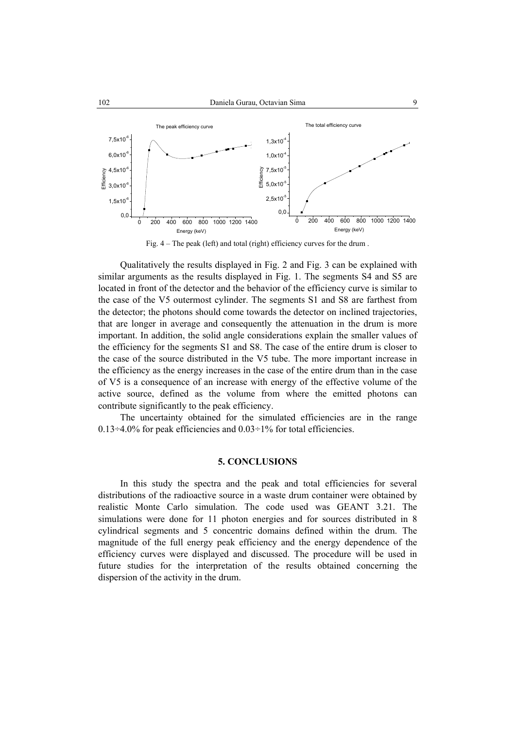

Fig. 4 – The peak (left) and total (right) efficiency curves for the drum .

Qualitatively the results displayed in Fig. 2 and Fig. 3 can be explained with similar arguments as the results displayed in Fig. 1. The segments S4 and S5 are located in front of the detector and the behavior of the efficiency curve is similar to the case of the V5 outermost cylinder. The segments S1 and S8 are farthest from the detector; the photons should come towards the detector on inclined trajectories, that are longer in average and consequently the attenuation in the drum is more important. In addition, the solid angle considerations explain the smaller values of the efficiency for the segments S1 and S8. The case of the entire drum is closer to the case of the source distributed in the V5 tube. The more important increase in the efficiency as the energy increases in the case of the entire drum than in the case of V5 is a consequence of an increase with energy of the effective volume of the active source, defined as the volume from where the emitted photons can contribute significantly to the peak efficiency.

The uncertainty obtained for the simulated efficiencies are in the range  $0.13 \div 4.0\%$  for peak efficiencies and  $0.03 \div 1\%$  for total efficiencies.

#### **5. CONCLUSIONS**

In this study the spectra and the peak and total efficiencies for several distributions of the radioactive source in a waste drum container were obtained by realistic Monte Carlo simulation. The code used was GEANT 3.21. The simulations were done for 11 photon energies and for sources distributed in 8 cylindrical segments and 5 concentric domains defined within the drum. The magnitude of the full energy peak efficiency and the energy dependence of the efficiency curves were displayed and discussed. The procedure will be used in future studies for the interpretation of the results obtained concerning the dispersion of the activity in the drum.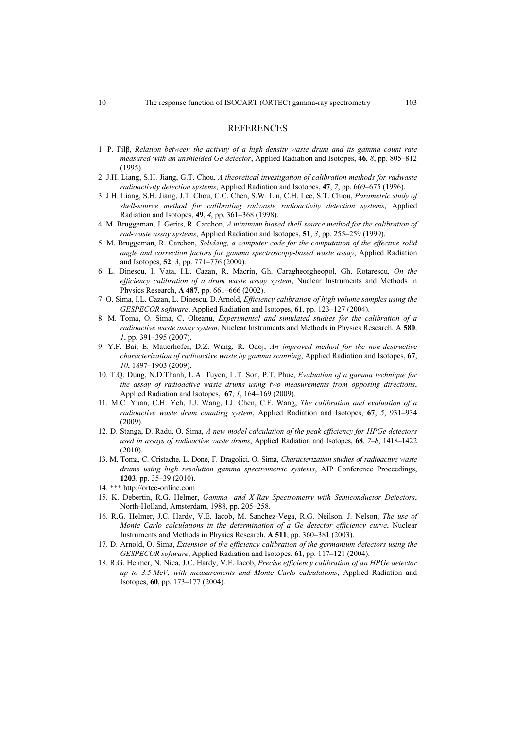#### REFERENCES

- 1. P. Filβ, *Relation between the activity of a high-density waste drum and its gamma count rate measured with an unshielded Ge-detector*, Applied Radiation and Isotopes, **46**, *8*, pp. 805–812 (1995).
- 2. J.H. Liang, S.H. Jiang, G.T. Chou, *A theoretical investigation of calibration methods for radwaste radioactivity detection systems*, Applied Radiation and Isotopes, **47**, *7*, pp. 669–675 (1996).
- 3. J.H. Liang, S.H. Jiang, J.T. Chou, C.C. Chen, S.W. Lin, C.H. Lee, S.T. Chiou, *Parametric study of shell-source method for calibrating radwaste radioactivity detection systems*, Applied Radiation and Isotopes, **49**, *4*, pp. 361–368 (1998).
- 4. M. Bruggeman, J. Gerits, R. Carchon, *A minimum biased shell-source method for the calibration of rad-waste assay systems*, Applied Radiation and Isotopes, **51**, *3*, pp. 255–259 (1999).
- 5. M. Bruggeman, R. Carchon, *Solidang, a computer code for the computation of the effective solid angle and correction factors for gamma spectroscopy-based waste assay*, Applied Radiation and Isotopes, **52**, *3*, pp. 771–776 (2000).
- 6. L. Dinescu, I. Vata, I.L. Cazan, R. Macrin, Gh. Caragheorgheopol, Gh. Rotarescu, *On the efficiency calibration of a drum waste assay system*, Nuclear Instruments and Methods in Physics Research, **A 487**, pp. 661–666 (2002).
- 7. O. Sima, I.L. Cazan, L. Dinescu, D.Arnold, *Efficiency calibration of high volume samples using the GESPECOR software*, Applied Radiation and Isotopes, **61**, pp. 123–127 (2004).
- 8. M. Toma, O. Sima, C. Olteanu, *Experimental and simulated studies for the calibration of a radioactive waste assay system*, Nuclear Instruments and Methods in Physics Research, A **580**, *1*, pp. 391–395 (2007).
- 9. Y.F. Bai, E. Mauerhofer, D.Z. Wang, R. Odoj, *An improved method for the non-destructive characterization of radioactive waste by gamma scanning*, Applied Radiation and Isotopes, **67**, *10*, 1897–1903 (2009).
- 10. T.Q. Dung, N.D.Thanh, L.A. Tuyen, L.T. Son, P.T. Phuc, *Evaluation of a gamma technique for the assay of radioactive waste drums using two measurements from opposing directions*, Applied Radiation and Isotopes, **67**, *1*, 164–169 (2009).
- 11. M.C. Yuan, C.H. Yeh, J.J. Wang, I.J. Chen, C.F. Wang, *The calibration and evaluation of a radioactive waste drum counting system*, Applied Radiation and Isotopes, **67**, *5*, 931–934 (2009).
- 12. D. Stanga, D. Radu, O. Sima, *A new model calculation of the peak efficiency for HPGe detectors used in assays of radioactive waste drums*, Applied Radiation and Isotopes, **68**. *7–8*, 1418–1422 (2010).
- 13. M. Toma, C. Cristache, L. Done, F. Dragolici, O. Sima, *Characterization studies of radioactive waste drums using high resolution gamma spectrometric systems*, AIP Conference Proceedings, **1203**, pp. 35–39 (2010).
- 14. \*\*\* http://ortec-online.com
- 15. K. Debertin, R.G. Helmer, *Gamma- and X-Ray Spectrometry with Semiconductor Detectors*, North-Holland, Amsterdam, 1988, pp. 205–258.
- 16. R.G. Helmer, J.C. Hardy, V.E. Iacob, M. Sanchez-Vega, R.G. Neilson, J. Nelson, *The use of Monte Carlo calculations in the determination of a Ge detector efficiency curve*, Nuclear Instruments and Methods in Physics Research, **A 511**, pp. 360–381 (2003).
- 17. D. Arnold, O. Sima, *Extension of the efficiency calibration of the germanium detectors using the GESPECOR software*, Applied Radiation and Isotopes, **61**, pp. 117–121 (2004).
- 18. R.G. Helmer, N. Nica, J.C. Hardy, V.E. Iacob, *Precise efficiency calibration of an HPGe detector up to 3.5 MeV, with measurements and Monte Carlo calculations*, Applied Radiation and Isotopes, **60**, pp. 173–177 (2004).